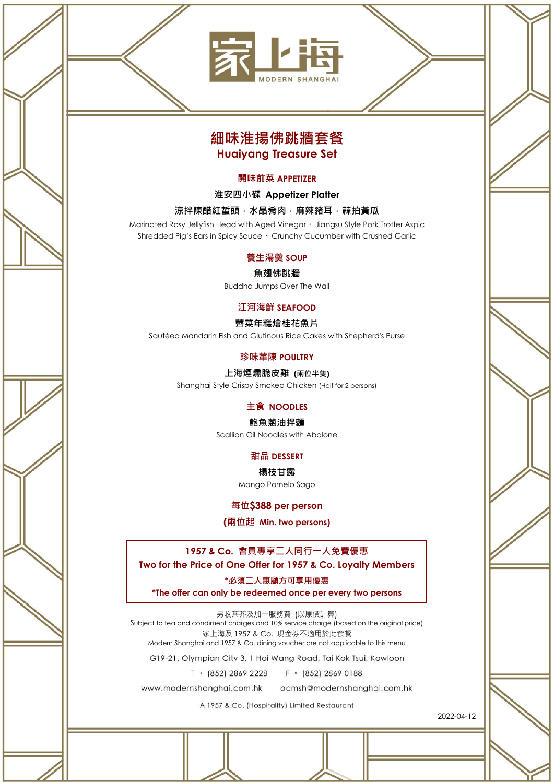

# **細味淮揚佛跳牆套餐 Huaiyang Treasure Set**

### **開味前菜 APPETIZER**

**淮安四小碟 Appetizer Platter**

### 涼拌陳醋紅蜇頭·水晶肴肉·麻辣豬耳·蒜拍黃瓜

Marinated Rosy Jellyfish Head with Aged Vinegar · Jiangsu Style Pork Trotter Aspic Shredded Pig's Ears in Spicy Sauce · Crunchy Cucumber with Crushed Garlic

### **養生湯羹 SOUP**

**魚翅佛跳牆**

Buddha Jumps Over The Wall

### **江河海鮮 SEAFOOD**

#### **薺菜年糕燴桂花魚片**

Sautéed Mandarin Fish and Glutinous Rice Cakes with Shepherd's Purse

#### **珍味葷陳 POULTRY**

### **上海煙燻脆皮雞 (兩位半隻)**

Shanghai Style Crispy Smoked Chicken (Half for 2 persons)

### **主食 NOODLES**

## **鮑魚蔥油拌麵**

Scallion Oil Noodles with Abalone

### **甜品 DESSERT**

### **楊枝甘露**

Mango Pomelo Sago

### **每位\$388 per person**

**(兩位起 Min. two persons)**

# **1957 & Co. 會員專享二人同行一人免費優惠 Two for the Price of One Offer for 1957 & Co. Loyalty Members**

### **\*必須二人惠顧方可享用優惠**

**\*The offer can only be redeemed once per every two persons**

另收茶芥及加一服務費 (以原價計算) Subject to tea and condiment charges and 10% service charge (based on the original price) 家上海及 1957 & Co. 現金券不適用於此套餐 Modern Shanghai and 1957 & Co. dining voucher are not applicable to this menu

G19-21, Olympian City 3, 1 Hoi Wang Road, Tai Kok Tsui, Kowloon

T · (852) 2869 2228 F · (852) 2869 0188

www.modernshanghai.com.hk ocmsh@modernshanghai.com.hk

A 1957 & Co. (Hospitality) Limited Restaurant

2022-04-12